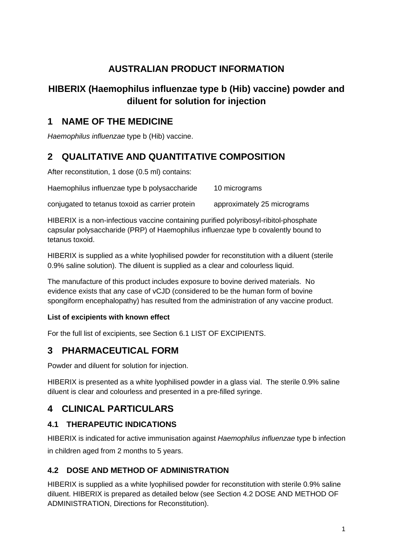# **AUSTRALIAN PRODUCT INFORMATION**

# **HIBERIX (Haemophilus influenzae type b (Hib) vaccine) powder and diluent for solution for injection**

# **1 NAME OF THE MEDICINE**

*Haemophilus influenzae* type b (Hib) vaccine.

# **2 QUALITATIVE AND QUANTITATIVE COMPOSITION**

After reconstitution, 1 dose (0.5 ml) contains:

Haemophilus influenzae type b polysaccharide 10 micrograms

conjugated to tetanus toxoid as carrier protein approximately 25 micrograms

HIBERIX is a non-infectious vaccine containing purified polyribosyl-ribitol-phosphate capsular polysaccharide (PRP) of Haemophilus influenzae type b covalently bound to tetanus toxoid.

HIBERIX is supplied as a white lyophilised powder for reconstitution with a diluent (sterile 0.9% saline solution). The diluent is supplied as a clear and colourless liquid.

The manufacture of this product includes exposure to bovine derived materials. No evidence exists that any case of vCJD (considered to be the human form of bovine spongiform encephalopathy) has resulted from the administration of any vaccine product.

## **List of excipients with known effect**

For the full list of excipients, see Section 6.1 LIST OF EXCIPIENTS.

# **3 PHARMACEUTICAL FORM**

Powder and diluent for solution for injection.

HIBERIX is presented as a white lyophilised powder in a glass vial. The sterile 0.9% saline diluent is clear and colourless and presented in a pre-filled syringe.

# **4 CLINICAL PARTICULARS**

## **4.1 THERAPEUTIC INDICATIONS**

HIBERIX is indicated for active immunisation against *Haemophilus influenzae* type b infection in children aged from 2 months to 5 years.

## **4.2 DOSE AND METHOD OF ADMINISTRATION**

HIBERIX is supplied as a white lyophilised powder for reconstitution with sterile 0.9% saline diluent. HIBERIX is prepared as detailed below (see Section 4.2 DOSE AND METHOD OF ADMINISTRATION, Directions for Reconstitution).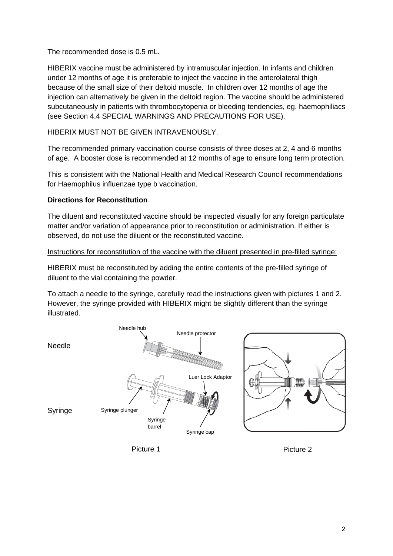The recommended dose is 0.5 mL.

HIBERIX vaccine must be administered by intramuscular injection. In infants and children under 12 months of age it is preferable to inject the vaccine in the anterolateral thigh because of the small size of their deltoid muscle. In children over 12 months of age the injection can alternatively be given in the deltoid region. The vaccine should be administered subcutaneously in patients with thrombocytopenia or bleeding tendencies, eg. haemophiliacs (see Section 4.4 SPECIAL WARNINGS AND PRECAUTIONS FOR USE).

HIBERIX MUST NOT BE GIVEN INTRAVENOUSLY.

The recommended primary vaccination course consists of three doses at 2, 4 and 6 months of age. A booster dose is recommended at 12 months of age to ensure long term protection.

This is consistent with the National Health and Medical Research Council recommendations for Haemophilus influenzae type b vaccination.

### **Directions for Reconstitution**

The diluent and reconstituted vaccine should be inspected visually for any foreign particulate matter and/or variation of appearance prior to reconstitution or administration. If either is observed, do not use the diluent or the reconstituted vaccine.

### Instructions for reconstitution of the vaccine with the diluent presented in pre-filled syringe:

HIBERIX must be reconstituted by adding the entire contents of the pre-filled syringe of diluent to the vial containing the powder.

To attach a needle to the syringe, carefully read the instructions given with pictures 1 and 2. However, the syringe provided with HIBERIX might be slightly different than the syringe illustrated.



Picture 1 Picture 2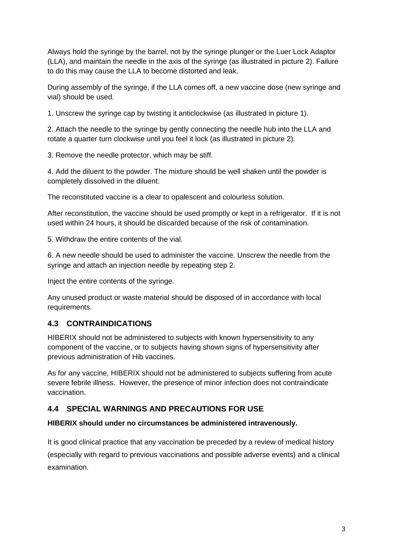Always hold the syringe by the barrel, not by the syringe plunger or the Luer Lock Adaptor (LLA), and maintain the needle in the axis of the syringe (as illustrated in picture 2). Failure to do this may cause the LLA to become distorted and leak.

During assembly of the syringe, if the LLA comes off, a new vaccine dose (new syringe and vial) should be used.

1. Unscrew the syringe cap by twisting it anticlockwise (as illustrated in picture 1).

2. Attach the needle to the syringe by gently connecting the needle hub into the LLA and rotate a quarter turn clockwise until you feel it lock (as illustrated in picture 2).

3. Remove the needle protector, which may be stiff.

4. Add the diluent to the powder. The mixture should be well shaken until the powder is completely dissolved in the diluent.

The reconstituted vaccine is a clear to opalescent and colourless solution.

After reconstitution, the vaccine should be used promptly or kept in a refrigerator. If it is not used within 24 hours, it should be discarded because of the risk of contamination.

5. Withdraw the entire contents of the vial.

6. A new needle should be used to administer the vaccine. Unscrew the needle from the syringe and attach an injection needle by repeating step 2.

Inject the entire contents of the syringe.

Any unused product or waste material should be disposed of in accordance with local requirements.

## **4.3 CONTRAINDICATIONS**

HIBERIX should not be administered to subjects with known hypersensitivity to any component of the vaccine, or to subjects having shown signs of hypersensitivity after previous administration of Hib vaccines.

As for any vaccine, HIBERIX should not be administered to subjects suffering from acute severe febrile illness. However, the presence of minor infection does not contraindicate vaccination.

## **4.4 SPECIAL WARNINGS AND PRECAUTIONS FOR USE**

## **HIBERIX should under no circumstances be administered intravenously.**

It is good clinical practice that any vaccination be preceded by a review of medical history (especially with regard to previous vaccinations and possible adverse events) and a clinical examination.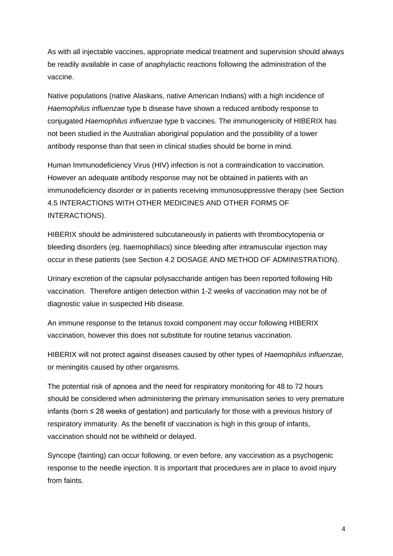As with all injectable vaccines, appropriate medical treatment and supervision should always be readily available in case of anaphylactic reactions following the administration of the vaccine.

Native populations (native Alaskans, native American Indians) with a high incidence of *Haemophilus influenzae* type b disease have shown a reduced antibody response to conjugated *Haemophilus influenzae* type b vaccines. The immunogenicity of HIBERIX has not been studied in the Australian aboriginal population and the possibility of a lower antibody response than that seen in clinical studies should be borne in mind.

Human Immunodeficiency Virus (HIV) infection is not a contraindication to vaccination. However an adequate antibody response may not be obtained in patients with an immunodeficiency disorder or in patients receiving immunosuppressive therapy (see Section 4.5 INTERACTIONS WITH OTHER MEDICINES AND OTHER FORMS OF INTERACTIONS).

HIBERIX should be administered subcutaneously in patients with thrombocytopenia or bleeding disorders (eg. haemophiliacs) since bleeding after intramuscular injection may occur in these patients (see Section 4.2 DOSAGE AND METHOD OF ADMINISTRATION).

Urinary excretion of the capsular polysaccharide antigen has been reported following Hib vaccination. Therefore antigen detection within 1-2 weeks of vaccination may not be of diagnostic value in suspected Hib disease.

An immune response to the tetanus toxoid component may occur following HIBERIX vaccination, however this does not substitute for routine tetanus vaccination.

HIBERIX will not protect against diseases caused by other types of *Haemophilus influenzae,* or meningitis caused by other organisms.

The potential risk of apnoea and the need for respiratory monitoring for 48 to 72 hours should be considered when administering the primary immunisation series to very premature infants (born ≤ 28 weeks of gestation) and particularly for those with a previous history of respiratory immaturity. As the benefit of vaccination is high in this group of infants, vaccination should not be withheld or delayed.

Syncope (fainting) can occur following, or even before, any vaccination as a psychogenic response to the needle injection. It is important that procedures are in place to avoid injury from faints.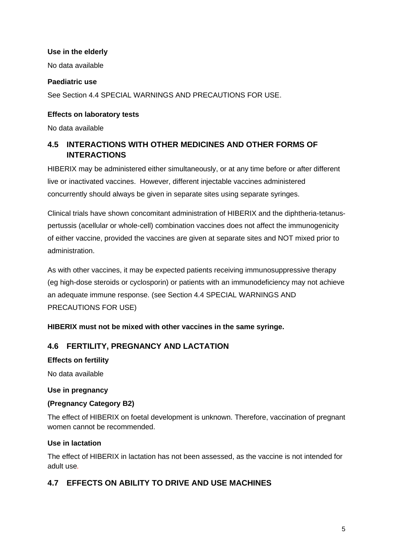### **Use in the elderly**

No data available

#### **Paediatric use**

See Section 4.4 SPECIAL WARNINGS AND PRECAUTIONS FOR USE.

#### **Effects on laboratory tests**

No data available

## **4.5 INTERACTIONS WITH OTHER MEDICINES AND OTHER FORMS OF INTERACTIONS**

HIBERIX may be administered either simultaneously, or at any time before or after different live or inactivated vaccines. However, different injectable vaccines administered concurrently should always be given in separate sites using separate syringes.

Clinical trials have shown concomitant administration of HIBERIX and the diphtheria-tetanuspertussis (acellular or whole-cell) combination vaccines does not affect the immunogenicity of either vaccine, provided the vaccines are given at separate sites and NOT mixed prior to administration.

As with other vaccines, it may be expected patients receiving immunosuppressive therapy (eg high-dose steroids or cyclosporin) or patients with an immunodeficiency may not achieve an adequate immune response. (see Section 4.4 SPECIAL WARNINGS AND PRECAUTIONS FOR USE)

### **HIBERIX must not be mixed with other vaccines in the same syringe.**

### **4.6 FERTILITY, PREGNANCY AND LACTATION**

#### **Effects on fertility**

No data available

#### **Use in pregnancy**

### **(Pregnancy Category B2)**

The effect of HIBERIX on foetal development is unknown. Therefore, vaccination of pregnant women cannot be recommended.

#### **Use in lactation**

The effect of HIBERIX in lactation has not been assessed, as the vaccine is not intended for adult use*.*

## **4.7 EFFECTS ON ABILITY TO DRIVE AND USE MACHINES**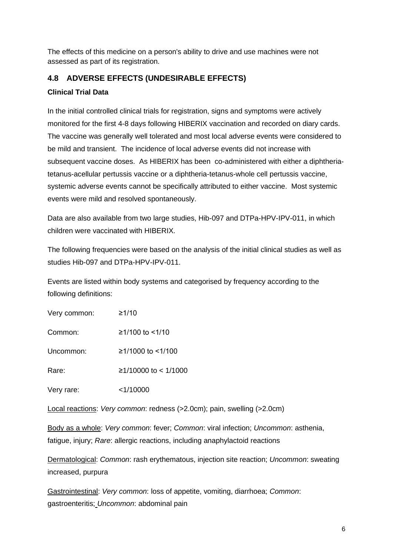The effects of this medicine on a person's ability to drive and use machines were not assessed as part of its registration.

## **4.8 ADVERSE EFFECTS (UNDESIRABLE EFFECTS)**

### **Clinical Trial Data**

In the initial controlled clinical trials for registration, signs and symptoms were actively monitored for the first 4-8 days following HIBERIX vaccination and recorded on diary cards. The vaccine was generally well tolerated and most local adverse events were considered to be mild and transient. The incidence of local adverse events did not increase with subsequent vaccine doses. As HIBERIX has been co-administered with either a diphtheriatetanus-acellular pertussis vaccine or a diphtheria-tetanus-whole cell pertussis vaccine, systemic adverse events cannot be specifically attributed to either vaccine. Most systemic events were mild and resolved spontaneously.

Data are also available from two large studies, Hib-097 and DTPa-HPV-IPV-011, in which children were vaccinated with HIBERIX.

The following frequencies were based on the analysis of the initial clinical studies as well as studies Hib-097 and DTPa-HPV-IPV-011.

Events are listed within body systems and categorised by frequency according to the following definitions:

| Very common: | ≥1/10 |
|--------------|-------|
|              |       |

Common: ≥1/100 to <1/10

Uncommon: ≥1/1000 to <1/100

Rare: ≥1/10000 to < 1/1000

Very rare: <1/10000

Local reactions: *Very common*: redness (>2.0cm); pain, swelling (>2.0cm)

Body as a whole: *Very common*: fever; *Common*: viral infection; *Uncommon*: asthenia, fatigue, injury; *Rare*: allergic reactions, including anaphylactoid reactions

Dermatological: *Common*: rash erythematous, injection site reaction; *Uncommon*: sweating increased, purpura

Gastrointestinal: *Very common*: loss of appetite, vomiting, diarrhoea; *Common*: gastroenteritis; *Uncommon*: abdominal pain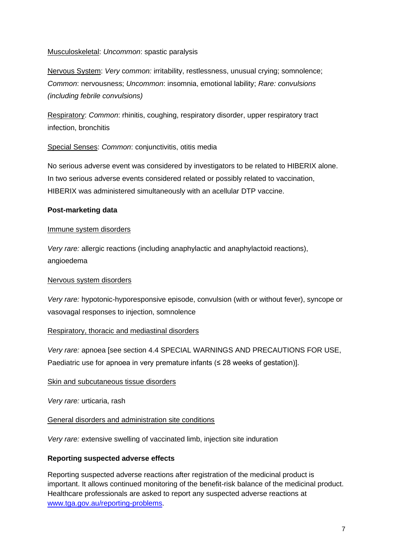Musculoskeletal: *Uncommon*: spastic paralysis

Nervous System: *Very* c*ommon:* irritability, restlessness, unusual crying; somnolence; *Common*: nervousness; *Uncommon*: insomnia, emotional lability; *Rare: convulsions (including febrile convulsions)*

Respiratory: *Common*: rhinitis, coughing, respiratory disorder, upper respiratory tract infection, bronchitis

#### Special Senses: *Common*: conjunctivitis, otitis media

No serious adverse event was considered by investigators to be related to HIBERIX alone. In two serious adverse events considered related or possibly related to vaccination, HIBERIX was administered simultaneously with an acellular DTP vaccine.

#### **Post-marketing data**

#### Immune system disorders

*Very rare:* allergic reactions (including anaphylactic and anaphylactoid reactions), angioedema

#### Nervous system disorders

*Very rare:* hypotonic-hyporesponsive episode, convulsion (with or without fever), syncope or vasovagal responses to injection, somnolence

#### Respiratory, thoracic and mediastinal disorders

*Very rare:* apnoea [see section 4.4 SPECIAL WARNINGS AND PRECAUTIONS FOR USE, Paediatric use for apnoea in very premature infants ( $\leq$  28 weeks of gestation)].

#### Skin and subcutaneous tissue disorders

*Very rare:* urticaria, rash

General disorders and administration site conditions

*Very rare:* extensive swelling of vaccinated limb, injection site induration

#### **Reporting suspected adverse effects**

Reporting suspected adverse reactions after registration of the medicinal product is important. It allows continued monitoring of the benefit-risk balance of the medicinal product. Healthcare professionals are asked to report any suspected adverse reactions at [www.tga.gov.au/reporting-problems.](http://www.tga.gov.au/reporting-problems)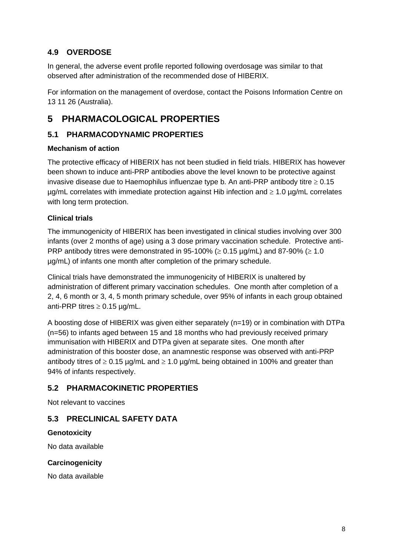## **4.9 OVERDOSE**

In general, the adverse event profile reported following overdosage was similar to that observed after administration of the recommended dose of HIBERIX.

For information on the management of overdose, contact the Poisons Information Centre on 13 11 26 (Australia).

# **5 PHARMACOLOGICAL PROPERTIES**

## **5.1 PHARMACODYNAMIC PROPERTIES**

### **Mechanism of action**

The protective efficacy of HIBERIX has not been studied in field trials. HIBERIX has however been shown to induce anti-PRP antibodies above the level known to be protective against invasive disease due to Haemophilus influenzae type b. An anti-PRP antibody titre  $\geq 0.15$  $\mu$ g/mL correlates with immediate protection against Hib infection and  $\geq 1.0 \mu$ g/mL correlates with long term protection.

## **Clinical trials**

The immunogenicity of HIBERIX has been investigated in clinical studies involving over 300 infants (over 2 months of age) using a 3 dose primary vaccination schedule. Protective anti-PRP antibody titres were demonstrated in 95-100% ( $\geq$  0.15 µg/mL) and 87-90% ( $\geq$  1.0 µg/mL) of infants one month after completion of the primary schedule.

Clinical trials have demonstrated the immunogenicity of HIBERIX is unaltered by administration of different primary vaccination schedules. One month after completion of a 2, 4, 6 month or 3, 4, 5 month primary schedule, over 95% of infants in each group obtained anti-PRP titres  $\geq 0.15$  µg/mL.

A boosting dose of HIBERIX was given either separately (n=19) or in combination with DTPa (n=56) to infants aged between 15 and 18 months who had previously received primary immunisation with HIBERIX and DTPa given at separate sites. One month after administration of this booster dose, an anamnestic response was observed with anti-PRP antibody titres of  $\geq 0.15$  µg/mL and  $\geq 1.0$  µg/mL being obtained in 100% and greater than 94% of infants respectively.

## **5.2 PHARMACOKINETIC PROPERTIES**

Not relevant to vaccines

## **5.3 PRECLINICAL SAFETY DATA**

### **Genotoxicity**

No data available

### **Carcinogenicity**

No data available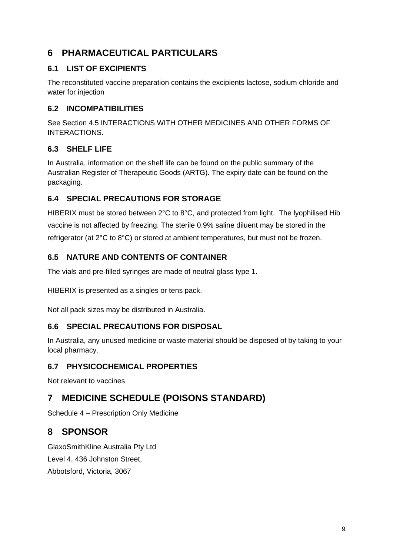# **6 PHARMACEUTICAL PARTICULARS**

## **6.1 LIST OF EXCIPIENTS**

The reconstituted vaccine preparation contains the excipients lactose, sodium chloride and water for injection

## **6.2 INCOMPATIBILITIES**

See Section 4.5 INTERACTIONS WITH OTHER MEDICINES AND OTHER FORMS OF INTERACTIONS.

## **6.3 SHELF LIFE**

In Australia, information on the shelf life can be found on the public summary of the Australian Register of Therapeutic Goods (ARTG). The expiry date can be found on the packaging.

## **6.4 SPECIAL PRECAUTIONS FOR STORAGE**

HIBERIX must be stored between 2°C to 8°C, and protected from light. The lyophilised Hib vaccine is not affected by freezing. The sterile 0.9% saline diluent may be stored in the refrigerator (at 2°C to 8°C) or stored at ambient temperatures, but must not be frozen.

## **6.5 NATURE AND CONTENTS OF CONTAINER**

The vials and pre-filled syringes are made of neutral glass type 1.

HIBERIX is presented as a singles or tens pack.

Not all pack sizes may be distributed in Australia.

## **6.6 SPECIAL PRECAUTIONS FOR DISPOSAL**

In Australia, any unused medicine or waste material should be disposed of by taking to your local pharmacy.

## **6.7 PHYSICOCHEMICAL PROPERTIES**

Not relevant to vaccines

# **7 MEDICINE SCHEDULE (POISONS STANDARD)**

Schedule 4 – Prescription Only Medicine

# **8 SPONSOR**

GlaxoSmithKline Australia Pty Ltd Level 4, 436 Johnston Street, Abbotsford, Victoria, 3067